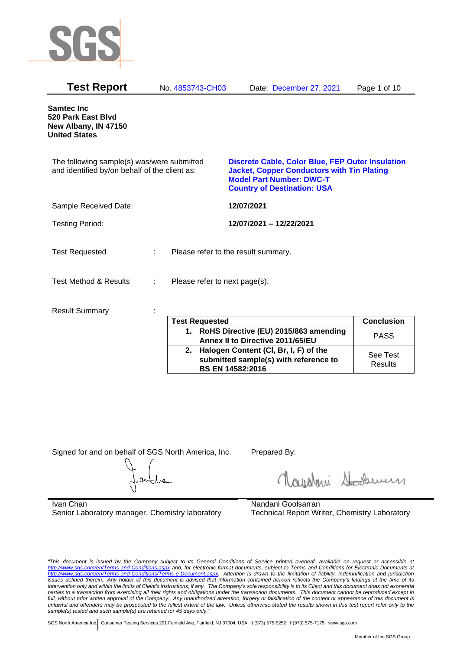

| <b>Test Report</b>                                                                          | No. 4853743-CH03              | Date: December 27, 2021                                                                                                                                                               | Page 1 of 10 |
|---------------------------------------------------------------------------------------------|-------------------------------|---------------------------------------------------------------------------------------------------------------------------------------------------------------------------------------|--------------|
| <b>Samtec Inc</b><br>520 Park East Blvd<br>New Albany, IN 47150<br><b>United States</b>     |                               |                                                                                                                                                                                       |              |
| The following sample(s) was/were submitted<br>and identified by/on behalf of the client as: |                               | <b>Discrete Cable, Color Blue, FEP Outer Insulation</b><br><b>Jacket, Copper Conductors with Tin Plating</b><br><b>Model Part Number: DWC-T</b><br><b>Country of Destination: USA</b> |              |
| Sample Received Date:                                                                       |                               | 12/07/2021                                                                                                                                                                            |              |
| <b>Testing Period:</b>                                                                      |                               | 12/07/2021 - 12/22/2021                                                                                                                                                               |              |
| <b>Test Requested</b>                                                                       |                               | Please refer to the result summary.                                                                                                                                                   |              |
| <b>Test Method &amp; Results</b><br>÷                                                       | Please refer to next page(s). |                                                                                                                                                                                       |              |
| <b>Result Summary</b>                                                                       | <b>Tast Ramiastad</b>         |                                                                                                                                                                                       | Conclusion   |

| <b>Test Requested</b>                                                                                        | <b>Conclusion</b>   |
|--------------------------------------------------------------------------------------------------------------|---------------------|
| 1. RoHS Directive (EU) 2015/863 amending<br>Annex II to Directive 2011/65/EU                                 | <b>PASS</b>         |
| 2. Halogen Content (CI, Br, I, F) of the<br>submitted sample(s) with reference to<br><b>BS EN 14582:2016</b> | See Test<br>Results |

Signed for and on behalf of SGS North America, Inc. Prepared By:

Navaloui Sousen

Ivan Chan Senior Laboratory manager, Chemistry laboratory

Nandani Goolsarran Technical Report Writer, Chemistry Laboratory

*"This document is issued by the Company subject to its General Conditions of Service printed overleaf, available on request or accessible at <http://www.sgs.com/en/Terms-and-Conditions.aspx> and, for electronic format documents, subject to Terms and Conditions for Electronic Documents at [http://www.sgs.com/en/Terms-and-Conditions/Terms-e-Document.aspx.](http://www.sgs.com/en/Terms-and-Conditions/Terms-e-Document.aspx) Attention is drawn to the limitation of liability, indemnification and jurisdiction issues defined therein. Any holder of this document is advised that information contained hereon reflects the Company's findings at the time of its intervention only and within the limits of Client's instructions, if any. The Company's sole responsibility is to its Client and this document does not exonerate parties to a transaction from exercising all their rights and obligations under the transaction documents. This document cannot be reproduced except in full, without prior written approval of the Company. Any unauthorized alteration, forgery or falsification of the content or appearance of this document is unlawful and offenders may be prosecuted to the fullest extent of the law. Unless otherwise stated the results shown in this test report refer only to the sample(s) tested and such sample(s) are retained for 45 days only."*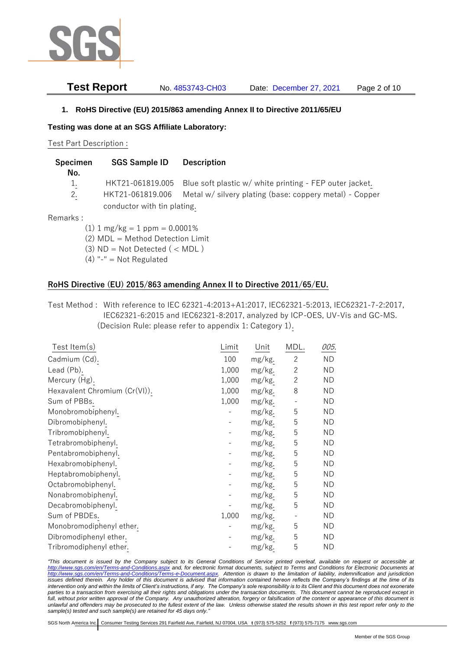

# **Test Report** No. 4853743-CH03 Date: December 27, 2021 Page 2 of 10

### **1. RoHS Directive (EU) 2015/863 amending Annex II to Directive 2011/65/EU**

**Testing was done at an SGS Affiliate Laboratory:**

Test Part Description :

| Specimen<br>No. | <b>SGS Sample ID</b>             | <b>Description</b>                                      |
|-----------------|----------------------------------|---------------------------------------------------------|
| 1.              | HKT21-061819.005                 | Blue soft plastic w/ white printing - FEP outer jacket. |
| 2.              | HKT21-061819.006                 | Metal w/ silvery plating (base: coppery metal) - Copper |
|                 | conductor with tin plating.      |                                                         |
| Remarks:        |                                  |                                                         |
|                 | $(1)$ 1 mg/kg = 1 ppm = 0.0001%  |                                                         |
|                 | (2) MDL = Method Detection Limit |                                                         |
|                 | $(3)$ ND = Not Detected ( < MDL) |                                                         |

 $(4)$  "-" = Not Regulated

### **RoHS Directive (EU) 2015/863 amending Annex II to Directive 2011/65/EU.**

Test Method : With reference to IEC 62321-4:2013+A1:2017, IEC62321-5:2013, IEC62321-7-2:2017, IEC62321-6:2015 and IEC62321-8:2017, analyzed by ICP-OES, UV-Vis and GC-MS. (Decision Rule: please refer to appendix 1: Category 1).

| Test Item $(s)$               | Limit | Unit   | MDL.                     | 005.      |
|-------------------------------|-------|--------|--------------------------|-----------|
| Cadmium (Cd).                 | 100   | mg/kg. | $\mathbf{2}$             | ND.       |
| Lead (Pb).                    | 1,000 | mg/kg. | $\overline{c}$           | <b>ND</b> |
| Mercury (Hg).                 | 1,000 | mg/kg. | $\mathbf{2}$             | <b>ND</b> |
| Hexavalent Chromium (Cr(VI)). | 1,000 | mg/kg. | 8                        | ND        |
| Sum of PBBs.                  | 1,000 | mg/kg. | $\overline{\phantom{a}}$ | ND        |
| Monobromobiphenyl.            |       | mg/kg. | 5                        | ND.       |
| Dibromobiphenyl.              |       | mg/kg. | 5                        | ND        |
| Tribromobiphenyl.             |       | mg/kg. | 5                        | ND        |
| Tetrabromobiphenyl.           |       | mg/kg. | 5                        | <b>ND</b> |
| Pentabromobiphenyl.           |       | mg/kg. | 5                        | ND        |
| Hexabromobiphenyl.            |       | mg/kg. | 5                        | ND.       |
| Heptabromobiphenyl.           |       | mg/kg. | 5                        | ND        |
| Octabromobiphenyl.            |       | mg/kg. | 5                        | <b>ND</b> |
| Nonabromobiphenyl.            |       | mg/kg. | 5                        | ND        |
| Decabromobiphenyl.            |       | mg/kg. | 5                        | ND        |
| Sum of PBDEs.                 | 1,000 | mg/kg. | $\qquad \qquad -$        | ND        |
| Monobromodiphenyl ether.      |       | mg/kg. | 5                        | ND.       |
| Dibromodiphenyl ether.        |       | mg/kg. | 5                        | ND        |
| Tribromodiphenyl ether.       |       | mg/kg. | 5                        | ND        |

*"This document is issued by the Company subject to its General Conditions of Service printed overleaf, available on request or accessible at <http://www.sgs.com/en/Terms-and-Conditions.aspx> and, for electronic format documents, subject to Terms and Conditions for Electronic Documents at [http://www.sgs.com/en/Terms-and-Conditions/Terms-e-Document.aspx.](http://www.sgs.com/en/Terms-and-Conditions/Terms-e-Document.aspx) Attention is drawn to the limitation of liability, indemnification and jurisdiction issues defined therein. Any holder of this document is advised that information contained hereon reflects the Company's findings at the time of its intervention only and within the limits of Client's instructions, if any. The Company's sole responsibility is to its Client and this document does not exonerate parties to a transaction from exercising all their rights and obligations under the transaction documents. This document cannot be reproduced except in full, without prior written approval of the Company. Any unauthorized alteration, forgery or falsification of the content or appearance of this document is unlawful and offenders may be prosecuted to the fullest extent of the law. Unless otherwise stated the results shown in this test report refer only to the sample(s) tested and such sample(s) are retained for 45 days only."*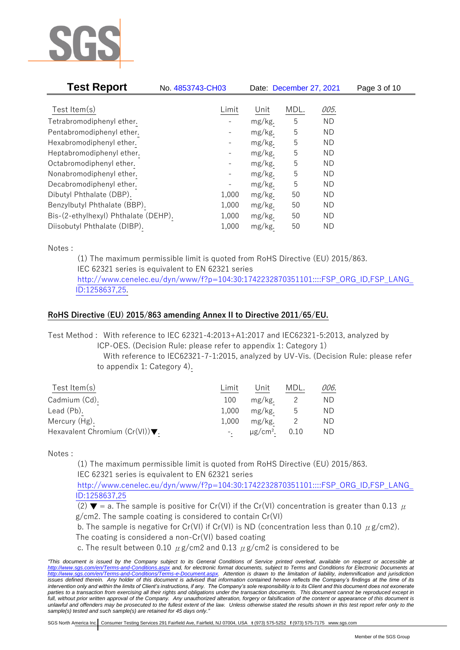

| <b>Test Report</b>                   | No. 4853743-CH03         |        | Date: December 27, 2021 |           | Page 3 of 10 |
|--------------------------------------|--------------------------|--------|-------------------------|-----------|--------------|
|                                      |                          |        |                         |           |              |
| Test Item $(s)$                      | Limit                    | Unit   | MDL.                    | 005.      |              |
| Tetrabromodiphenyl ether.            |                          | mg/kg. | 5                       | <b>ND</b> |              |
| Pentabromodiphenyl ether.            | $\overline{\phantom{a}}$ | mg/kg. | 5                       | ND        |              |
| Hexabromodiphenyl ether.             | $\overline{\phantom{a}}$ | mg/kg. | 5                       | ND        |              |
| Heptabromodiphenyl ether.            | $\qquad \qquad -$        | mg/kg. | 5                       | ND        |              |
| Octabromodiphenyl ether.             |                          | mg/kg. | 5                       | ND        |              |
| Nonabromodiphenyl ether.             | $\overline{\phantom{a}}$ | mg/kg. | 5                       | ND        |              |
| Decabromodiphenyl ether.             | $\overline{\phantom{a}}$ | mg/kg. | 5                       | ND        |              |
| Dibutyl Phthalate (DBP).             | 1,000                    | mg/kg. | 50                      | ND        |              |
| Benzylbutyl Phthalate (BBP).         | 1,000                    | mg/kg. | 50                      | ND        |              |
| Bis-(2-ethylhexyl) Phthalate (DEHP). | 1,000                    | mg/kg. | 50                      | ND        |              |
| Diisobutyl Phthalate (DIBP).         | 1,000                    | mg/kg. | 50                      | ND        |              |

Notes :

(1) The maximum permissible limit is quoted from RoHS Directive (EU) 2015/863. IEC 62321 series is equivalent to EN 62321 series [http://www.cenelec.eu/dyn/www/f?p=104:30:1742232870351101::::FSP\\_ORG\\_ID,FSP\\_LANG\\_](http://www.cenelec.eu/dyn/www/f?p=104:30:1742232870351101::::FSP_ORG_ID,FSP_LANG_ID:1258637,25) [ID:1258637,25.](http://www.cenelec.eu/dyn/www/f?p=104:30:1742232870351101::::FSP_ORG_ID,FSP_LANG_ID:1258637,25)

# **RoHS Directive (EU) 2015/863 amending Annex II to Directive 2011/65/EU.**

Test Method : With reference to IEC 62321-4:2013+A1:2017 and IEC62321-5:2013, analyzed by

ICP-OES. (Decision Rule: please refer to appendix 1: Category 1)

With reference to IEC62321-7-1:2015, analyzed by UV-Vis. (Decision Rule: please refer to appendix 1: Category 4).

| Test Item $(s)$                                    | Limit | Unit                      | MDL. | 006. |
|----------------------------------------------------|-------|---------------------------|------|------|
| Cadmium (Cd).                                      | 100   | mg/kg.                    |      | ND.  |
| Lead (Pb).                                         | 1.000 | mg/kg.                    | უ    | ND.  |
| Mercury (Hg).                                      | 1.000 | mg/kg.                    |      | ND.  |
| Hexavalent Chromium $(Cr(VI))\blacktriangledown$ . |       | $\mu$ g/cm <sup>2</sup> . | 0.10 | ND.  |

Notes :

(1) The maximum permissible limit is quoted from RoHS Directive (EU) 2015/863. IEC 62321 series is equivalent to EN 62321 series

[http://www.cenelec.eu/dyn/www/f?p=104:30:1742232870351101::::FSP\\_ORG\\_ID,FSP\\_LANG\\_](http://www.cenelec.eu/dyn/www/f?p=104:30:1742232870351101::::FSP_ORG_ID,FSP_LANG_ID:1258637,25) [ID:1258637,25](http://www.cenelec.eu/dyn/www/f?p=104:30:1742232870351101::::FSP_ORG_ID,FSP_LANG_ID:1258637,25)

(2)  $\blacktriangledown$  = a. The sample is positive for Cr(VI) if the Cr(VI) concentration is greater than 0.13  $\mu$ g/cm2. The sample coating is considered to contain Cr(VI)

b. The sample is negative for Cr(VI) if Cr(VI) is ND (concentration less than 0.10  $\mu$  g/cm2).

The coating is considered a non-Cr(VI) based coating

c. The result between 0.10  $\mu$  g/cm2 and 0.13  $\mu$  g/cm2 is considered to be

*<sup>&</sup>quot;This document is issued by the Company subject to its General Conditions of Service printed overleaf, available on request or accessible at <http://www.sgs.com/en/Terms-and-Conditions.aspx> and, for electronic format documents, subject to Terms and Conditions for Electronic Documents at [http://www.sgs.com/en/Terms-and-Conditions/Terms-e-Document.aspx.](http://www.sgs.com/en/Terms-and-Conditions/Terms-e-Document.aspx) Attention is drawn to the limitation of liability, indemnification and jurisdiction issues defined therein. Any holder of this document is advised that information contained hereon reflects the Company's findings at the time of its intervention only and within the limits of Client's instructions, if any. The Company's sole responsibility is to its Client and this document does not exonerate*  parties to a transaction from exercising all their rights and obligations under the transaction documents. This document cannot be reproduced except in *full, without prior written approval of the Company. Any unauthorized alteration, forgery or falsification of the content or appearance of this document is unlawful and offenders may be prosecuted to the fullest extent of the law. Unless otherwise stated the results shown in this test report refer only to the sample(s) tested and such sample(s) are retained for 45 days only."*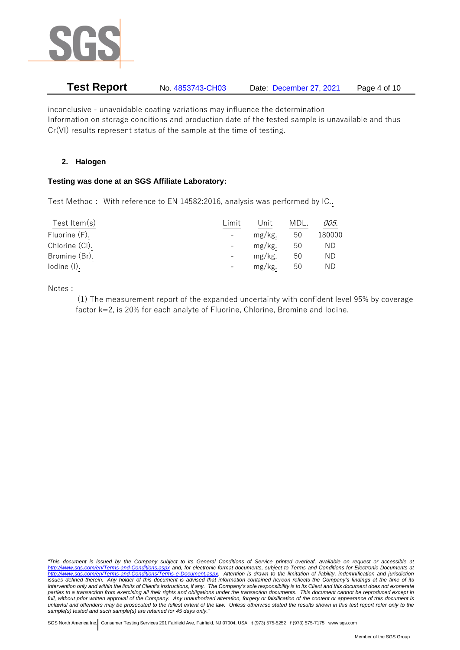

**Test Report** No. 4853743-CH03 Date: December 27, 2021 Page 4 of 10

inconclusive - unavoidable coating variations may influence the determination Information on storage conditions and production date of the tested sample is unavailable and thus Cr(VI) results represent status of the sample at the time of testing.

# **2. Halogen**

# **Testing was done at an SGS Affiliate Laboratory:**

Test Method : With reference to EN 14582:2016, analysis was performed by IC..

| Test Item(s)    | Limit                    | Unit   | MDL. | 005.   |
|-----------------|--------------------------|--------|------|--------|
| Fluorine (F).   | $\overline{\phantom{a}}$ | mg/kg. | 50   | 180000 |
| Chlorine (CI).  |                          | mg/kg. | 50   | ΝD     |
| Bromine (Br).   | $\overline{\phantom{a}}$ | mg/kg. | 50   | ND     |
| $Iodine$ $(I).$ |                          | mg/kg. | 50   | ND     |

Notes :

(1) The measurement report of the expanded uncertainty with confident level 95% by coverage factor k=2, is 20% for each analyte of Fluorine, Chlorine, Bromine and Iodine.

*"This document is issued by the Company subject to its General Conditions of Service printed overleaf, available on request or accessible at <http://www.sgs.com/en/Terms-and-Conditions.aspx> and, for electronic format documents, subject to Terms and Conditions for Electronic Documents at [http://www.sgs.com/en/Terms-and-Conditions/Terms-e-Document.aspx.](http://www.sgs.com/en/Terms-and-Conditions/Terms-e-Document.aspx) Attention is drawn to the limitation of liability, indemnification and jurisdiction issues defined therein. Any holder of this document is advised that information contained hereon reflects the Company's findings at the time of its intervention only and within the limits of Client's instructions, if any. The Company's sole responsibility is to its Client and this document does not exonerate parties to a transaction from exercising all their rights and obligations under the transaction documents. This document cannot be reproduced except in full, without prior written approval of the Company. Any unauthorized alteration, forgery or falsification of the content or appearance of this document is unlawful and offenders may be prosecuted to the fullest extent of the law. Unless otherwise stated the results shown in this test report refer only to the sample(s) tested and such sample(s) are retained for 45 days only."*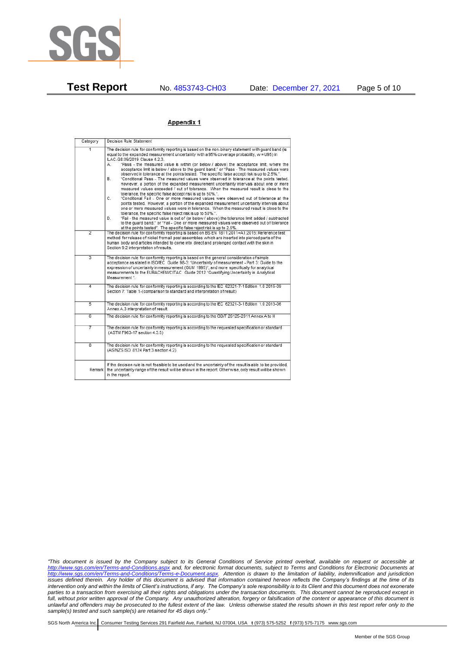

### Appendix 1

| Category       | Decision Rule Statement                                                                                                                                                                                                                                                                                                                                                                                                                                                                                                                                                                                                                                                                                                                                                                                                                                                                                                                                                                                                                                                                                                                                                                                                                                                                                                                                                                                                                    |  |  |
|----------------|--------------------------------------------------------------------------------------------------------------------------------------------------------------------------------------------------------------------------------------------------------------------------------------------------------------------------------------------------------------------------------------------------------------------------------------------------------------------------------------------------------------------------------------------------------------------------------------------------------------------------------------------------------------------------------------------------------------------------------------------------------------------------------------------------------------------------------------------------------------------------------------------------------------------------------------------------------------------------------------------------------------------------------------------------------------------------------------------------------------------------------------------------------------------------------------------------------------------------------------------------------------------------------------------------------------------------------------------------------------------------------------------------------------------------------------------|--|--|
| $\overline{1}$ | The decision rule for conformity reporting is based on the non-binary statement with quard band (is<br>equal to the expanded measurement uncertainty with a 95% coverage probability, w = U95) in<br>ILAC-G8:09/2019 Clause 4.2.3.<br>"Pass - the measured value is within (or below / above) the acceptance limit, where the<br>А.<br>acceptance limit is below / above to the quard band." or "Pass - The measured values were<br>observed in tolerance at the points tested. The specific false accept risk is up to 2.5%.".<br>B.<br>"Conditional Pass - The measured values were observed in tolerance at the points tested.<br>However, a portion of the expanded measurement uncertainty intervals about one or more<br>measured values exceeded / out of tolerance. When the measured result is close to the<br>tolerance, the specific false accept risk is up to 50%.".<br>C.<br>"Conditional Fail - One or more measured values were observed out of tolerance at the<br>points tested. However, a portion of the expanded measurement uncertainty intervals about<br>one or more measured values were in tolerance. When the measured result is close to the<br>tolerance, the specific false reject risk is up to 50%.".<br>"Fail - the measured value is out of (or below / above) the tolerance limit added / subtracted<br>D.<br>to the guard band." or "Fail - One or more measured values were observed out of tolerance |  |  |
| $\overline{2}$ | at the points tested". The specific false reject risk is up to 2.5%.<br>The decision rule for conformity reporting is based on BS EN 1811:2011+A1:2015: Reference test<br>method for release of nickel from all post assemblies which are inserted into pierced parts of the<br>human body and articles intended to come into direct and prolonged contact with the skin in<br>Section 9.2 interpretation of results.                                                                                                                                                                                                                                                                                                                                                                                                                                                                                                                                                                                                                                                                                                                                                                                                                                                                                                                                                                                                                      |  |  |
| $\overline{3}$ | The decision rule for conformity reporting is based on the general consideration of simple<br>acceptance as stated in ISO/IEC Guide 98-3: "Uncertainty of measurement - Part 3: Guide to the<br>expression of uncertainty in measurement (GUM 1995)", and more specifically for analytical<br>measurements to the EURACHEM/CITAC Guide 2012 "Quantifying Uncertainty in Analytical<br>Measurement *                                                                                                                                                                                                                                                                                                                                                                                                                                                                                                                                                                                                                                                                                                                                                                                                                                                                                                                                                                                                                                        |  |  |
| 4              | The decision rule for conformity reporting is according to the IEC 62321-7-1 Edition 1.0 2015-09<br>Section 7: Table 1-(comparison to standard and interpretation of result)                                                                                                                                                                                                                                                                                                                                                                                                                                                                                                                                                                                                                                                                                                                                                                                                                                                                                                                                                                                                                                                                                                                                                                                                                                                               |  |  |
| $\overline{5}$ | The decision rule for conformity reporting is according to the IEC 62321-3-1 Edition 1.0 2013-06<br>Annex A.3 interpretation of result.                                                                                                                                                                                                                                                                                                                                                                                                                                                                                                                                                                                                                                                                                                                                                                                                                                                                                                                                                                                                                                                                                                                                                                                                                                                                                                    |  |  |
| 6              | The decision rule for conformity reporting is according to the GB/T 26125-2011 Annex A to H                                                                                                                                                                                                                                                                                                                                                                                                                                                                                                                                                                                                                                                                                                                                                                                                                                                                                                                                                                                                                                                                                                                                                                                                                                                                                                                                                |  |  |
| 7              | The decision rule for conformity reporting is according to the requested specification or standard<br>(ASTM F963-17 section 4.3.5)                                                                                                                                                                                                                                                                                                                                                                                                                                                                                                                                                                                                                                                                                                                                                                                                                                                                                                                                                                                                                                                                                                                                                                                                                                                                                                         |  |  |
| $\overline{8}$ | The decision rule for conformity reporting is according to the requested specification or standard<br>(AS/NZS ISO 8124 Part 3 section 4.2)                                                                                                                                                                                                                                                                                                                                                                                                                                                                                                                                                                                                                                                                                                                                                                                                                                                                                                                                                                                                                                                                                                                                                                                                                                                                                                 |  |  |
|                | If the decision rule is not feasible to be used and the uncertainty of the result is able to be provided,<br>Remark the uncertainty range of the result will be shown in the report. Otherwise, only result will be shown<br>in the report.                                                                                                                                                                                                                                                                                                                                                                                                                                                                                                                                                                                                                                                                                                                                                                                                                                                                                                                                                                                                                                                                                                                                                                                                |  |  |

*"This document is issued by the Company subject to its General Conditions of Service printed overleaf, available on request or accessible at <http://www.sgs.com/en/Terms-and-Conditions.aspx> and, for electronic format documents, subject to Terms and Conditions for Electronic Documents at [http://www.sgs.com/en/Terms-and-Conditions/Terms-e-Document.aspx.](http://www.sgs.com/en/Terms-and-Conditions/Terms-e-Document.aspx) Attention is drawn to the limitation of liability, indemnification and jurisdiction issues defined therein. Any holder of this document is advised that information contained hereon reflects the Company's findings at the time of its intervention only and within the limits of Client's instructions, if any. The Company's sole responsibility is to its Client and this document does not exonerate parties to a transaction from exercising all their rights and obligations under the transaction documents. This document cannot be reproduced except in full, without prior written approval of the Company. Any unauthorized alteration, forgery or falsification of the content or appearance of this document is unlawful and offenders may be prosecuted to the fullest extent of the law. Unless otherwise stated the results shown in this test report refer only to the sample(s) tested and such sample(s) are retained for 45 days only."*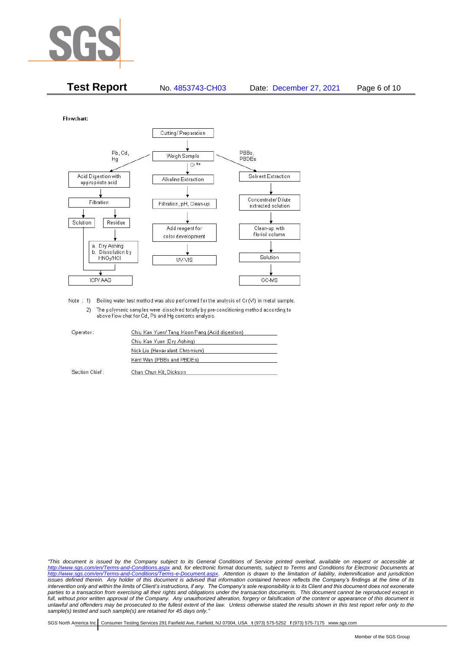

| <b>Test Report</b> | No. 4853743-CH03 | Date: December 27, 2021 | Page 6 of 10 |
|--------------------|------------------|-------------------------|--------------|
|                    |                  |                         |              |

Flowchart:



Note : 1) Boiling water test method was also performed for the analysis of Cr (VI) in metal sample. 2) The polymeric samples were dissolved totally by pre-conditioning method according to above flow chat for Cd, Pb and Hg contents analysis

| Operator       | Chiu Kan Yuen/ Tang Koon Pang (Acid digestion) |  |
|----------------|------------------------------------------------|--|
|                | Chiu Kan Yuen (Dry Ashing)                     |  |
|                | Nick Liu (Hexavalent Chromium)                 |  |
|                | Kent Wan (PBBs and PBDEs)                      |  |
| Section Chief: | Chan Chun Kit, Dickson                         |  |

*"This document is issued by the Company subject to its General Conditions of Service printed overleaf, available on request or accessible at <http://www.sgs.com/en/Terms-and-Conditions.aspx> and, for electronic format documents, subject to Terms and Conditions for Electronic Documents at [http://www.sgs.com/en/Terms-and-Conditions/Terms-e-Document.aspx.](http://www.sgs.com/en/Terms-and-Conditions/Terms-e-Document.aspx) Attention is drawn to the limitation of liability, indemnification and jurisdiction issues defined therein. Any holder of this document is advised that information contained hereon reflects the Company's findings at the time of its intervention only and within the limits of Client's instructions, if any. The Company's sole responsibility is to its Client and this document does not exonerate*  parties to a transaction from exercising all their rights and obligations under the transaction documents. This document cannot be reproduced except in *full, without prior written approval of the Company. Any unauthorized alteration, forgery or falsification of the content or appearance of this document is unlawful and offenders may be prosecuted to the fullest extent of the law. Unless otherwise stated the results shown in this test report refer only to the sample(s) tested and such sample(s) are retained for 45 days only."*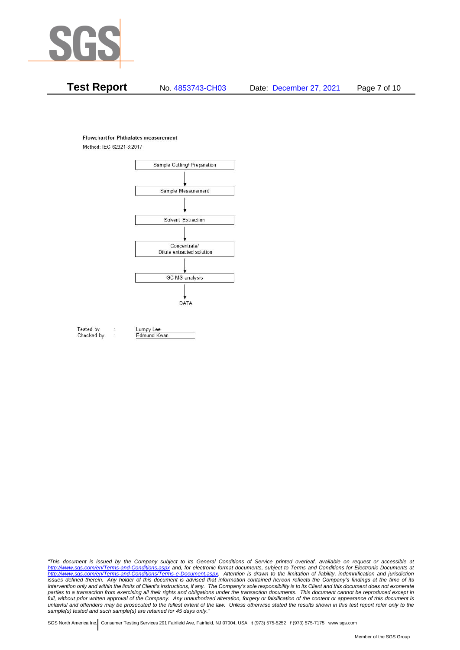

#### **Flowchart for Phthalates measurement**

Method: IEC 62321-8:2017



Tested by Checked by Lumpy Lee

Edmund Kwan

*"This document is issued by the Company subject to its General Conditions of Service printed overleaf, available on request or accessible at <http://www.sgs.com/en/Terms-and-Conditions.aspx> and, for electronic format documents, subject to Terms and Conditions for Electronic Documents at [http://www.sgs.com/en/Terms-and-Conditions/Terms-e-Document.aspx.](http://www.sgs.com/en/Terms-and-Conditions/Terms-e-Document.aspx) Attention is drawn to the limitation of liability, indemnification and jurisdiction issues defined therein. Any holder of this document is advised that information contained hereon reflects the Company's findings at the time of its intervention only and within the limits of Client's instructions, if any. The Company's sole responsibility is to its Client and this document does not exonerate*  parties to a transaction from exercising all their rights and obligations under the transaction documents. This document cannot be reproduced except in *full, without prior written approval of the Company. Any unauthorized alteration, forgery or falsification of the content or appearance of this document is unlawful and offenders may be prosecuted to the fullest extent of the law. Unless otherwise stated the results shown in this test report refer only to the sample(s) tested and such sample(s) are retained for 45 days only."*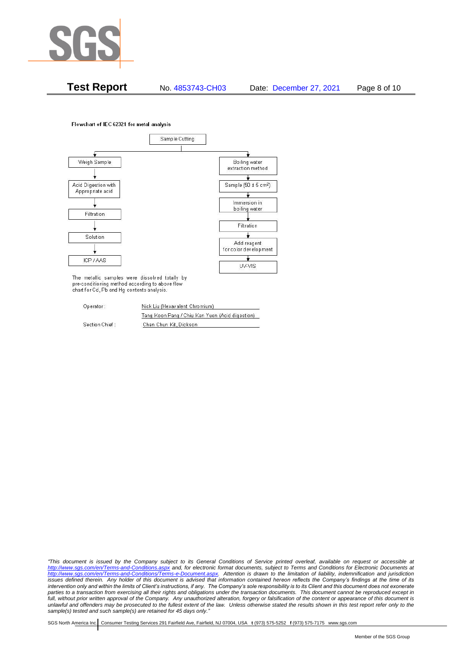

**Test Report** No. 4853743-CH03 Date: December 27, 2021 Page 8 of 10

Flowchart of IEC 62321 for metal analysis



The metallic samples were dissolved totally by pre-conditioning method according to above flow chart for Cd, Pb and Hg contents analysis.

| Operator:      | Nick Liu (Hexavalent Chromium)                  |  |  |
|----------------|-------------------------------------------------|--|--|
|                | Tang Koon Pang / Chiu Kan Yuen (Acid digestion) |  |  |
| Section Chief: | Chan Chun Kit, Dickson                          |  |  |

*"This document is issued by the Company subject to its General Conditions of Service printed overleaf, available on request or accessible at <http://www.sgs.com/en/Terms-and-Conditions.aspx> and, for electronic format documents, subject to Terms and Conditions for Electronic Documents at [http://www.sgs.com/en/Terms-and-Conditions/Terms-e-Document.aspx.](http://www.sgs.com/en/Terms-and-Conditions/Terms-e-Document.aspx) Attention is drawn to the limitation of liability, indemnification and jurisdiction issues defined therein. Any holder of this document is advised that information contained hereon reflects the Company's findings at the time of its intervention only and within the limits of Client's instructions, if any. The Company's sole responsibility is to its Client and this document does not exonerate*  parties to a transaction from exercising all their rights and obligations under the transaction documents. This document cannot be reproduced except in *full, without prior written approval of the Company. Any unauthorized alteration, forgery or falsification of the content or appearance of this document is unlawful and offenders may be prosecuted to the fullest extent of the law. Unless otherwise stated the results shown in this test report refer only to the sample(s) tested and such sample(s) are retained for 45 days only."*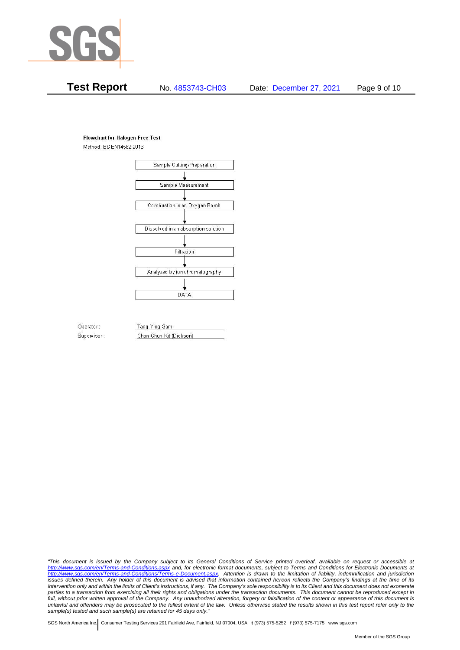

#### **Flowchart for Halogen Free Test**

Method: BS EN14582:2016



Operator: Tang Ying Sam Supervisor: Chan Chun Kit (Dickson)

*"This document is issued by the Company subject to its General Conditions of Service printed overleaf, available on request or accessible at <http://www.sgs.com/en/Terms-and-Conditions.aspx> and, for electronic format documents, subject to Terms and Conditions for Electronic Documents at [http://www.sgs.com/en/Terms-and-Conditions/Terms-e-Document.aspx.](http://www.sgs.com/en/Terms-and-Conditions/Terms-e-Document.aspx) Attention is drawn to the limitation of liability, indemnification and jurisdiction issues defined therein. Any holder of this document is advised that information contained hereon reflects the Company's findings at the time of its intervention only and within the limits of Client's instructions, if any. The Company's sole responsibility is to its Client and this document does not exonerate*  parties to a transaction from exercising all their rights and obligations under the transaction documents. This document cannot be reproduced except in *full, without prior written approval of the Company. Any unauthorized alteration, forgery or falsification of the content or appearance of this document is unlawful and offenders may be prosecuted to the fullest extent of the law. Unless otherwise stated the results shown in this test report refer only to the sample(s) tested and such sample(s) are retained for 45 days only."*